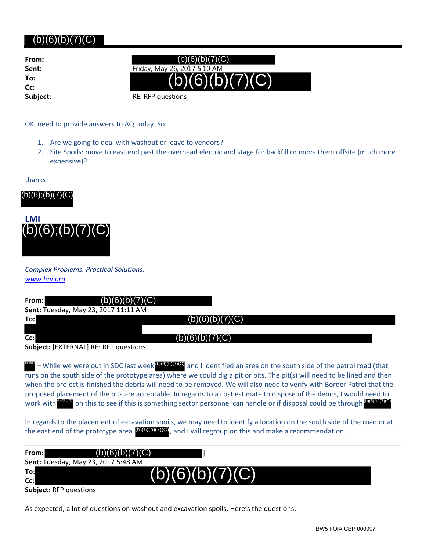## (b)(6)(b)(7)(C)

**From: To: Cc:**

**Sent:** Friday, May 26, 2017 5:10 AM (b)(6)(b)(7)(C)  $(b)(6)(b)(7)(C)$ 

**Subject:** RE: RFP questions

OK, need to provide answers to AQ today. So

- 1. Are we going to deal with washout or leave to vendors?
- 2. Site Spoils: move to east end past the overhead electric and stage for backfill or move them offsite (much more expensive)?

thanks





| (b)(6);(b)(7)(C)                                              |                                                                                                                                                                                                                                                                                                                                                                                                                                                                                                                                                                                                                                    |
|---------------------------------------------------------------|------------------------------------------------------------------------------------------------------------------------------------------------------------------------------------------------------------------------------------------------------------------------------------------------------------------------------------------------------------------------------------------------------------------------------------------------------------------------------------------------------------------------------------------------------------------------------------------------------------------------------------|
| <b>LMI</b><br>$(b)(6)$ ; $(b)(7)(C)$                          |                                                                                                                                                                                                                                                                                                                                                                                                                                                                                                                                                                                                                                    |
| <b>Complex Problems. Practical Solutions.</b><br>www.lmi.org  |                                                                                                                                                                                                                                                                                                                                                                                                                                                                                                                                                                                                                                    |
| From:<br>6)<br>Sent: Tuesday, May 23, 2017 11:11 AM           |                                                                                                                                                                                                                                                                                                                                                                                                                                                                                                                                                                                                                                    |
| To:<br>Cc:<br><b>Subject: [EXTERNAL] RE: RFP questions</b>    | (b)(6)(b)(7)(<br>(b)(6)(b)(7)(C)                                                                                                                                                                                                                                                                                                                                                                                                                                                                                                                                                                                                   |
| work with                                                     | - While we were out in SDC last week <b>[DIGIGITIC</b> ] and I identified an area on the south side of the patrol road (that<br>runs on the south side of the prototype area) where we could dig a pit or pits. The pit(s) will need to be lined and then<br>when the project is finished the debris will need to be removed. We will also need to verify with Border Patrol that the<br>proposed placement of the pits are acceptable. In regards to a cost estimate to dispose of the debris, I would need to<br>on this to see if this is something sector personnel can handle or if disposal could be through (b)(6)(b)(7)(C) |
|                                                               | In regards to the placement of excavation spoils, we may need to identify a location on the south side of the road or at<br>the east end of the prototype area. <b>[0](6)(0)(7)(0)</b> , and I will regroup on this and make a recommendation.                                                                                                                                                                                                                                                                                                                                                                                     |
| From:<br>(b)                                                  | 7)(C)<br>(6)(b)(                                                                                                                                                                                                                                                                                                                                                                                                                                                                                                                                                                                                                   |
| Sent: Tuesday, May 23, 2017 5:48 AM<br>To:<br>$\mathsf{Cc}$ : |                                                                                                                                                                                                                                                                                                                                                                                                                                                                                                                                                                                                                                    |

| From: I     | (b)(6)(b)(7)(C)                            |                 |  |
|-------------|--------------------------------------------|-----------------|--|
|             | <b>Sent:</b> Tuesday, May 23, 2017 5:48 AM |                 |  |
| To:l<br>cc: |                                            | (b)(6)(b)(7)(C) |  |
|             | <b>Subject: RFP questions</b>              |                 |  |

As expected, a lot of questions on washout and excavation spoils. Here's the questions: